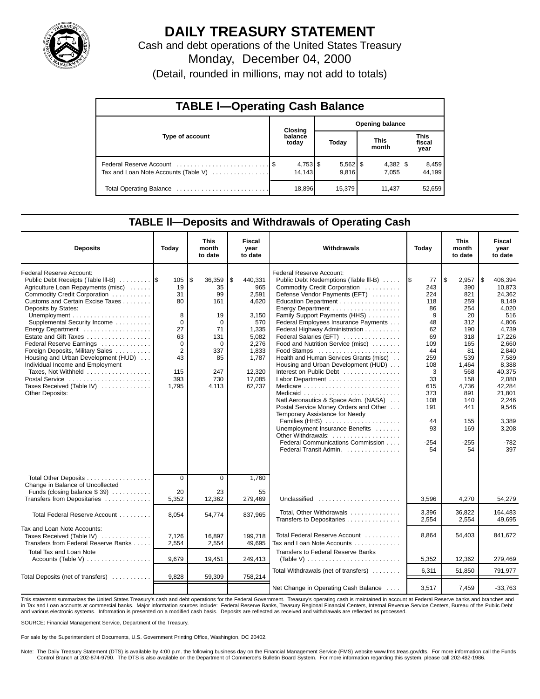

## **DAILY TREASURY STATEMENT**

Cash and debt operations of the United States Treasury

Monday, December 04, 2000

(Detail, rounded in millions, may not add to totals)

| <b>TABLE I-Operating Cash Balance</b> |                  |         |  |                     |                      |        |                               |                 |  |  |  |
|---------------------------------------|------------------|---------|--|---------------------|----------------------|--------|-------------------------------|-----------------|--|--|--|
|                                       |                  | Closing |  |                     | Opening balance      |        |                               |                 |  |  |  |
| Type of account                       | balance<br>today |         |  | Today               | <b>This</b><br>month |        | <b>This</b><br>fiscal<br>year |                 |  |  |  |
| Tax and Loan Note Accounts (Table V)  |                  | 14.143  |  | $5,562$ \$<br>9.816 |                      | 7.055  |                               | 8,459<br>44.199 |  |  |  |
|                                       |                  | 18,896  |  | 15,379              |                      | 11.437 |                               | 52,659          |  |  |  |

### **TABLE ll—Deposits and Withdrawals of Operating Cash**

| <b>Deposits</b>                                                                                                                                                                                                                                                                                                                                                                                                                                                                                                            | Today                                                                                                            | This<br>month<br>to date                                                                                       | <b>Fiscal</b><br>year<br>to date                                                                                                  | Withdrawals                                                                                                                                                                                                                                                                                                                                                                                                                                                                                                                                                                                                                                                                                                                                        | Today                                                                                                                                            | This<br>month<br>to date                                                                                                                                                | Fiscal<br>year<br>to date                                                                                                                                                                                               |
|----------------------------------------------------------------------------------------------------------------------------------------------------------------------------------------------------------------------------------------------------------------------------------------------------------------------------------------------------------------------------------------------------------------------------------------------------------------------------------------------------------------------------|------------------------------------------------------------------------------------------------------------------|----------------------------------------------------------------------------------------------------------------|-----------------------------------------------------------------------------------------------------------------------------------|----------------------------------------------------------------------------------------------------------------------------------------------------------------------------------------------------------------------------------------------------------------------------------------------------------------------------------------------------------------------------------------------------------------------------------------------------------------------------------------------------------------------------------------------------------------------------------------------------------------------------------------------------------------------------------------------------------------------------------------------------|--------------------------------------------------------------------------------------------------------------------------------------------------|-------------------------------------------------------------------------------------------------------------------------------------------------------------------------|-------------------------------------------------------------------------------------------------------------------------------------------------------------------------------------------------------------------------|
| Federal Reserve Account:<br>Public Debt Receipts (Table III-B) 5<br>Agriculture Loan Repayments (misc)<br>Commodity Credit Corporation<br>Customs and Certain Excise Taxes<br>Deposits by States:<br>Supplemental Security Income<br>Energy Department<br>Estate and Gift Taxes<br>Federal Reserve Earnings<br>Foreign Deposits, Military Sales<br>Housing and Urban Development (HUD)<br>Individual Income and Employment<br>Taxes, Not Withheld<br>Postal Service<br>Taxes Received (Table IV)<br><b>Other Deposits:</b> | 105<br>19<br>31<br>80<br>8<br>$\Omega$<br>27<br>63<br>$\mathbf 0$<br>$\overline{2}$<br>43<br>115<br>393<br>1,795 | \$<br>36,359<br>35<br>99<br>161<br>19<br>$\Omega$<br>71<br>131<br>$\Omega$<br>337<br>85<br>247<br>730<br>4,113 | \$<br>440,331<br>965<br>2,591<br>4,620<br>3,150<br>570<br>1,335<br>5,082<br>2,276<br>1,833<br>1,787<br>12,320<br>17,085<br>62,737 | Federal Reserve Account:<br>Public Debt Redemptions (Table III-B)<br>Commodity Credit Corporation<br>Defense Vendor Payments (EFT)<br>Education Department<br>Energy Department<br>Family Support Payments (HHS)<br>Federal Employees Insurance Payments<br>Federal Highway Administration<br>Federal Salaries (EFT)<br>Food and Nutrition Service (misc)<br>Food Stamps<br>Health and Human Services Grants (misc)<br>Housing and Urban Development (HUD)<br>Interest on Public Debt<br>Natl Aeronautics & Space Adm. (NASA)<br>Postal Service Money Orders and Other<br>Temporary Assistance for Needy<br>Families (HHS)<br>Unemployment Insurance Benefits<br>Other Withdrawals:<br>Federal Communications Commission<br>Federal Transit Admin. | 77<br>243<br>224<br>118<br>86<br>9<br>48<br>62<br>69<br>109<br>44<br>259<br>108<br>3<br>33<br>615<br>373<br>108<br>191<br>44<br>93<br>-254<br>54 | \$<br>2,957<br>390<br>821<br>259<br>254<br>20<br>312<br>190<br>318<br>165<br>81<br>539<br>1,464<br>568<br>158<br>4.736<br>891<br>140<br>441<br>155<br>169<br>-255<br>54 | l\$<br>406,394<br>10,873<br>24,362<br>8.149<br>4,020<br>516<br>4,806<br>4,739<br>17,226<br>2,660<br>2,840<br>7,589<br>8,388<br>40,375<br>2.080<br>42.284<br>21,801<br>2,246<br>9,546<br>3,389<br>3,208<br>$-782$<br>397 |
| Total Other Deposits<br>Change in Balance of Uncollected<br>Funds (closing balance $$39$ )<br>Transfers from Depositaries                                                                                                                                                                                                                                                                                                                                                                                                  | $\overline{0}$<br>20<br>5,352                                                                                    | $\overline{0}$<br>23<br>12,362                                                                                 | 1,760<br>55<br>279,469                                                                                                            | Unclassified                                                                                                                                                                                                                                                                                                                                                                                                                                                                                                                                                                                                                                                                                                                                       | 3,596                                                                                                                                            | 4,270                                                                                                                                                                   | 54,279                                                                                                                                                                                                                  |
| Total Federal Reserve Account                                                                                                                                                                                                                                                                                                                                                                                                                                                                                              | 8.054                                                                                                            | 54,774                                                                                                         | 837,965                                                                                                                           | Total, Other Withdrawals<br>Transfers to Depositaries                                                                                                                                                                                                                                                                                                                                                                                                                                                                                                                                                                                                                                                                                              | 3,396<br>2,554                                                                                                                                   | 36.822<br>2,554                                                                                                                                                         | 164,483<br>49,695                                                                                                                                                                                                       |
| Tax and Loan Note Accounts:<br>Taxes Received (Table IV)<br>Transfers from Federal Reserve Banks                                                                                                                                                                                                                                                                                                                                                                                                                           | 7,126<br>2,554                                                                                                   | 16,897<br>2,554                                                                                                | 199,718<br>49,695                                                                                                                 | Total Federal Reserve Account<br>Tax and Loan Note Accounts                                                                                                                                                                                                                                                                                                                                                                                                                                                                                                                                                                                                                                                                                        | 8.864                                                                                                                                            | 54,403                                                                                                                                                                  | 841.672                                                                                                                                                                                                                 |
| <b>Total Tax and Loan Note</b><br>Accounts (Table V) $\dots \dots \dots \dots \dots$                                                                                                                                                                                                                                                                                                                                                                                                                                       | 9,679                                                                                                            | 19,451                                                                                                         | 249,413                                                                                                                           | Transfers to Federal Reserve Banks<br>(Table V) $\ldots \ldots \ldots \ldots \ldots \ldots \ldots \ldots$                                                                                                                                                                                                                                                                                                                                                                                                                                                                                                                                                                                                                                          | 5,352                                                                                                                                            | 12,362                                                                                                                                                                  | 279,469                                                                                                                                                                                                                 |
| Total Deposits (net of transfers)                                                                                                                                                                                                                                                                                                                                                                                                                                                                                          | 9,828                                                                                                            | 59,309                                                                                                         | 758,214                                                                                                                           | Total Withdrawals (net of transfers)                                                                                                                                                                                                                                                                                                                                                                                                                                                                                                                                                                                                                                                                                                               | 6,311                                                                                                                                            | 51.850                                                                                                                                                                  | 791,977                                                                                                                                                                                                                 |
|                                                                                                                                                                                                                                                                                                                                                                                                                                                                                                                            |                                                                                                                  |                                                                                                                |                                                                                                                                   | Net Change in Operating Cash Balance                                                                                                                                                                                                                                                                                                                                                                                                                                                                                                                                                                                                                                                                                                               | 3,517                                                                                                                                            | 7,459                                                                                                                                                                   | $-33,763$                                                                                                                                                                                                               |

This statement summarizes the United States Treasury's cash and debt operations for the Federal Government. Treasury's operating cash is maintained in account at Federal Reserve banks and branches and in Tax and Loan accounts at commercial banks. Major information sources include: Federal Reserve Banks, Treasury Regional Financial Centers, Internal Revenue Service Centers, Bureau of the Public Debt in Tax and Loan accou and various electronic systems. Information is presented on a modified cash basis. Deposits are reflected as received and withdrawals are reflected as processed.

SOURCE: Financial Management Service, Department of the Treasury.

For sale by the Superintendent of Documents, U.S. Government Printing Office, Washington, DC 20402.

Note: The Daily Treasury Statement (DTS) is available by 4:00 p.m. the following business day on the Financial Management Service (FMS) website www.fms.treas.gov/dts. For more information call the Funds Control Branch at 202-874-9790. The DTS is also available on the Department of Commerce's Bulletin Board System. For more information regarding this system, please call 202-482-1986.